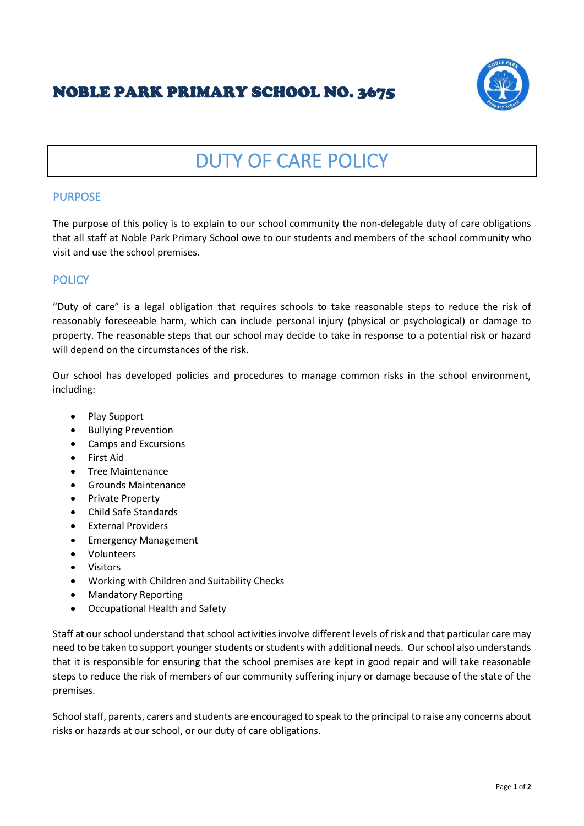## NOBLE PARK PRIMARY SCHOOL NO. 3675



# DUTY OF CARE POLICY

#### PURPOSE

The purpose of this policy is to explain to our school community the non-delegable duty of care obligations that all staff at Noble Park Primary School owe to our students and members of the school community who visit and use the school premises.

#### **POLICY**

"Duty of care" is a legal obligation that requires schools to take reasonable steps to reduce the risk of reasonably foreseeable harm, which can include personal injury (physical or psychological) or damage to property. The reasonable steps that our school may decide to take in response to a potential risk or hazard will depend on the circumstances of the risk.

Our school has developed policies and procedures to manage common risks in the school environment, including:

- Play Support
- Bullying Prevention
- Camps and Excursions
- First Aid
- Tree Maintenance
- Grounds Maintenance
- Private Property
- Child Safe Standards
- External Providers
- Emergency Management
- Volunteers
- Visitors
- Working with Children and Suitability Checks
- Mandatory Reporting
- Occupational Health and Safety

Staff at our school understand that school activities involve different levels of risk and that particular care may need to be taken to support younger students or students with additional needs. Our school also understands that it is responsible for ensuring that the school premises are kept in good repair and will take reasonable steps to reduce the risk of members of our community suffering injury or damage because of the state of the premises.

School staff, parents, carers and students are encouraged to speak to the principal to raise any concerns about risks or hazards at our school, or our duty of care obligations.